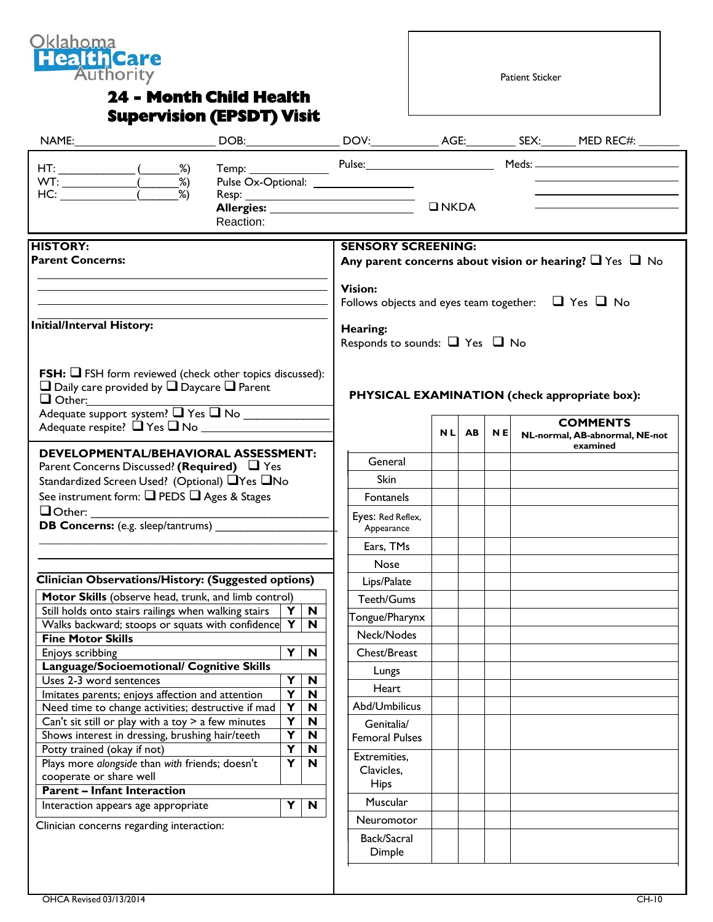

## **24 - Month Child Health Supervision (EPSDT) Visit**

Patient Sticker

|                                                                                                                                                                                                                                                                                                                        | Reaction:                                                                                                                                |                                                                                                    | Pulse Ox-Optional: ___________________                                                                                                                                                                                                   | $\n  INKDA\n$ |       |     |  | <u> 1989 - Johann Barn, amerikansk politiker (</u><br>the control of the control of the control of the control of |
|------------------------------------------------------------------------------------------------------------------------------------------------------------------------------------------------------------------------------------------------------------------------------------------------------------------------|------------------------------------------------------------------------------------------------------------------------------------------|----------------------------------------------------------------------------------------------------|------------------------------------------------------------------------------------------------------------------------------------------------------------------------------------------------------------------------------------------|---------------|-------|-----|--|-------------------------------------------------------------------------------------------------------------------|
| <b>HISTORY:</b><br><b>Parent Concerns:</b><br><b>Initial/Interval History:</b>                                                                                                                                                                                                                                         |                                                                                                                                          |                                                                                                    | <b>SENSORY SCREENING:</b><br>Any parent concerns about vision or hearing? $\Box$ Yes $\Box$ No<br><b>Vision:</b><br>Follows objects and eyes team together: $\Box$ Yes $\Box$ No<br>Hearing:<br>Responds to sounds: $\Box$ Yes $\Box$ No |               |       |     |  |                                                                                                                   |
| <b>FSH:</b> $\Box$ FSH form reviewed (check other topics discussed):<br>$\Box$ Daily care provided by $\Box$ Daycare $\Box$ Parent<br>Other:<br>Adequate support system? T Yes T No<br>Adequate respite? ■ Yes ■ No                                                                                                    |                                                                                                                                          |                                                                                                    |                                                                                                                                                                                                                                          |               | NL AB | N E |  | PHYSICAL EXAMINATION (check appropriate box):<br><b>COMMENTS</b><br>NL-normal, AB-abnormal, NE-not<br>examined    |
| <b>DEVELOPMENTAL/BEHAVIORAL ASSESSMENT:</b><br>Parent Concerns Discussed? (Required) $\Box$ Yes<br>Standardized Screen Used? (Optional) ■ Yes ■ No<br>See instrument form: Q PEDS Q Ages & Stages<br>$\Box$ Other:<br><b>DB Concerns:</b> (e.g. sleep/tantrums)                                                        |                                                                                                                                          |                                                                                                    | General<br>Skin<br>Fontanels<br>Eyes: Red Reflex,<br>Appearance<br>Ears, TMs                                                                                                                                                             |               |       |     |  |                                                                                                                   |
| <b>Clinician Observations/History: (Suggested options)</b><br>Motor Skills (observe head, trunk, and limb control)<br>Still holds onto stairs railings when walking stairs<br>Walks backward; stoops or squats with confidence $Y \mid N$<br><b>Fine Motor Skills</b><br>Enjoys scribbing                              | Y<br>Y                                                                                                                                   | $\mathbf N$<br>N                                                                                   | Nose<br>Lips/Palate<br>Teeth/Gums<br>Tongue/Pharynx<br>Neck/Nodes<br>Chest/Breast                                                                                                                                                        |               |       |     |  |                                                                                                                   |
| Language/Socioemotional/ Cognitive Skills<br>Uses 2-3 word sentences<br>Imitates parents; enjoys affection and attention<br>Need time to change activities; destructive if mad<br>Can't sit still or play with a toy > a few minutes<br>Shows interest in dressing, brushing hair/teeth<br>Potty trained (okay if not) | Y<br>$\overline{\mathbf{Y}}$<br>$\overline{\mathbf{Y}}$<br>$\overline{\mathbf{Y}}$<br>$\overline{\mathbf{Y}}$<br>$\overline{\mathbf{Y}}$ | N<br>$\boldsymbol{\mathsf{N}}$<br>N<br>$\boldsymbol{\mathsf{N}}$<br>$\boldsymbol{\mathsf{N}}$<br>N | Lungs<br>Heart<br>Abd/Umbilicus<br>Genitalia/<br><b>Femoral Pulses</b>                                                                                                                                                                   |               |       |     |  |                                                                                                                   |
| Plays more alongside than with friends; doesn't<br>cooperate or share well<br><b>Parent - Infant Interaction</b><br>Interaction appears age appropriate<br>Clinician concerns regarding interaction:                                                                                                                   | $\overline{\mathbf{Y}}$<br>Y                                                                                                             | N<br>$\boldsymbol{\mathsf{N}}$                                                                     | Extremities,<br>Clavicles,<br><b>Hips</b><br>Muscular<br><b>Neuromotor</b><br>Back/Sacral                                                                                                                                                |               |       |     |  |                                                                                                                   |